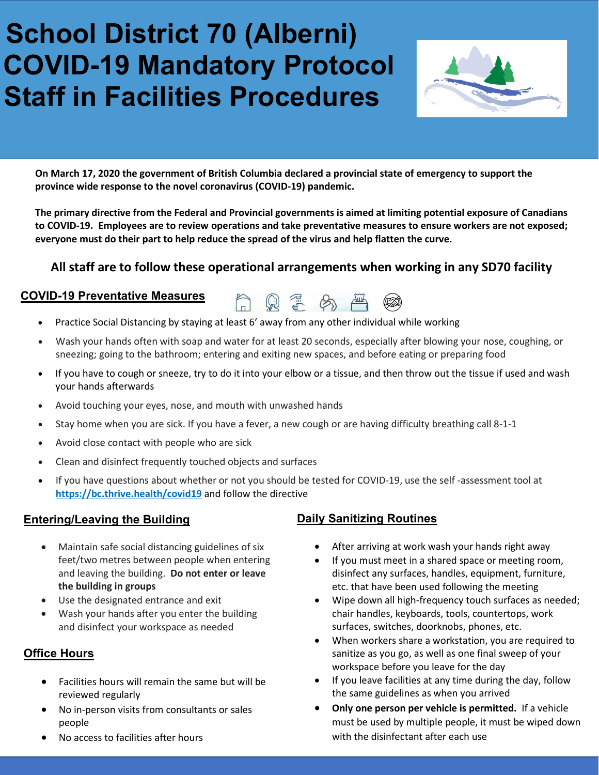# **School District 70 (Alberni) COVID-19 Mandatory Protocol Staff in Facilities Procedures**



**On March 17, 2020 the government of British Columbia declared a provincial state of emergency to support the province wide response to the novel coronavirus (COVID-19) pandemic.**

**The primary directive from the Federal and Provincial governments is aimed at limiting potential exposure of Canadians to COVID-19. Employees are to review operations and take preventative measures to ensure workers are not exposed; everyone must do their part to help reduce the spread of the virus and help flatten the curve.**

# **All staff are to follow these operational arrangements when working in any SD70 facility**

AQZAA

#### **COVID-19 Preventative Measures**



- Wash your hands often with soap and water for at least 20 seconds, especially after blowing your nose, coughing, or sneezing; going to the bathroom; entering and exiting new spaces, and before eating or preparing food
- If you have to cough or sneeze, try to do it into your elbow or a tissue, and then throw out the tissue if used and wash your hands afterwards
- Avoid touching your eyes, nose, and mouth with unwashed hands
- Stay home when you are sick. If you have a fever, a new cough or are having difficulty breathing call 8-1-1
- Avoid close contact with people who are sick
- Clean and disinfect frequently touched objects and surfaces
- If you have questions about whether or not you should be tested for COVID-19, use the self -assessment tool at **<https://bc.thrive.health/covid19>** and follow the directive

#### **Entering/Leaving the Building**

- Maintain safe social distancing guidelines of six feet/two metres between people when entering and leaving the building. **Do not enter or leave the building in groups**
- Use the designated entrance and exit
- Wash your hands after you enter the building and disinfect your workspace as needed

## **Office Hours**

- Facilities hours will remain the same but will be reviewed regularly
- No in-person visits from consultants or sales people
- No access to facilities after hours

## **Daily Sanitizing Routines**

- After arriving at work wash your hands right away
- If you must meet in a shared space or meeting room, disinfect any surfaces, handles, equipment, furniture, etc. that have been used following the meeting
- Wipe down all high-frequency touch surfaces as needed; chair handles, keyboards, tools, countertops, work surfaces, switches, doorknobs, phones, etc.
- When workers share a workstation, you are required to sanitize as you go, as well as one final sweep of your workspace before you leave for the day
- If you leave facilities at any time during the day, follow the same guidelines as when you arrived
- **Only one person per vehicle is permitted.** If a vehicle must be used by multiple people, it must be wiped down with the disinfectant after each use